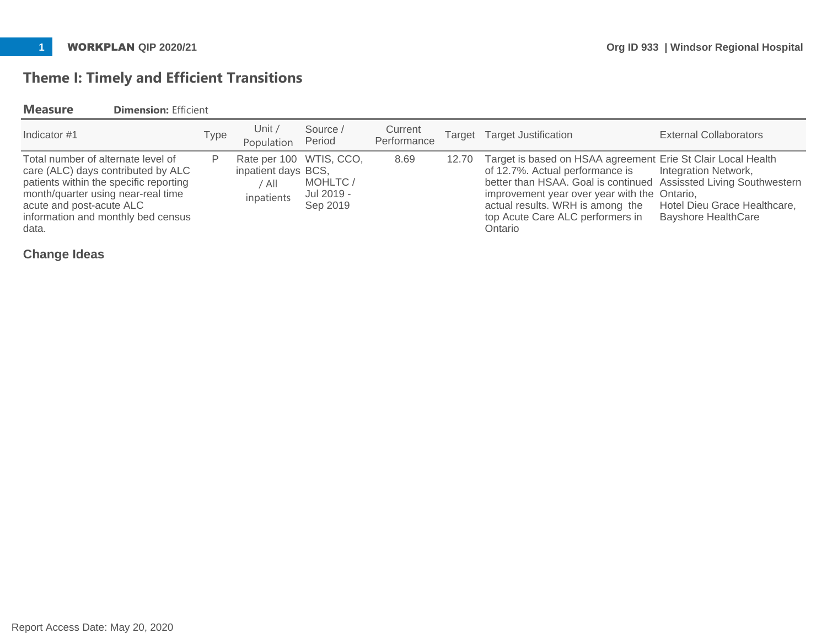# **Theme I: Timely and Efficient Transitions**

## **Measure Dimension:** Efficient

| Indicator #1                                                                                                                                                                                                                        | Type | Unit /<br>Population                                                  | Source /<br>Period                | Current<br>Performance | Target Target Justification                                                                                                                                                                                                                                                                                   | External Collaborators                                                             |
|-------------------------------------------------------------------------------------------------------------------------------------------------------------------------------------------------------------------------------------|------|-----------------------------------------------------------------------|-----------------------------------|------------------------|---------------------------------------------------------------------------------------------------------------------------------------------------------------------------------------------------------------------------------------------------------------------------------------------------------------|------------------------------------------------------------------------------------|
| Total number of alternate level of<br>care (ALC) days contributed by ALC<br>patients within the specific reporting<br>month/quarter using near-real time<br>acute and post-acute ALC<br>information and monthly bed census<br>data. | P    | Rate per 100 WTIS, CCO,<br>inpatient days BCS,<br>' All<br>inpatients | MOHLTC/<br>Jul 2019 -<br>Sep 2019 | 8.69                   | 12.70 Target is based on HSAA agreement Erie St Clair Local Health<br>of 12.7%. Actual performance is<br>better than HSAA. Goal is continued Assissted Living Southwestern<br>improvement year over year with the Ontario,<br>actual results. WRH is among the<br>top Acute Care ALC performers in<br>Ontario | Integration Network,<br>Hotel Dieu Grace Healthcare,<br><b>Bayshore HealthCare</b> |

**Change Ideas**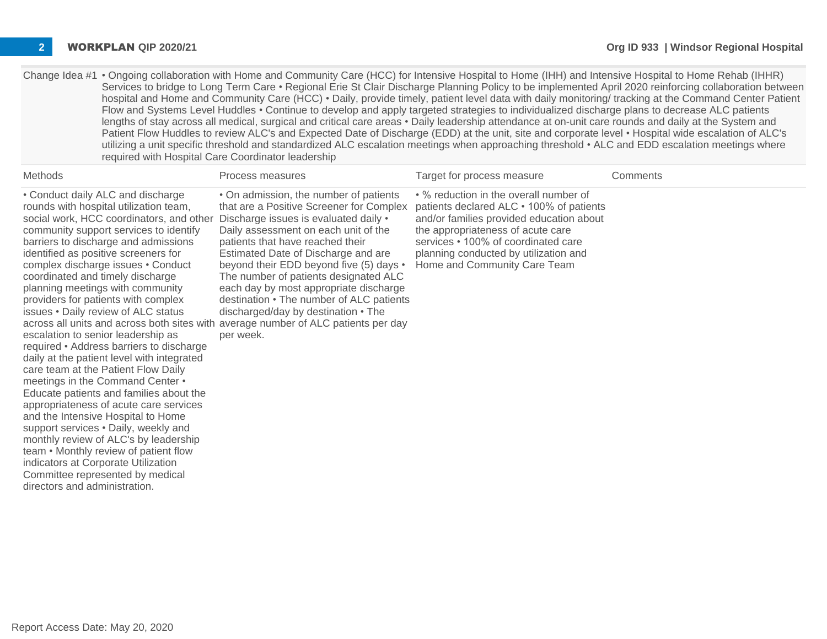| Change Idea #1 • Ongoing collaboration with Home and Community Care (HCC) for Intensive Hospital to Home (IHH) and Intensive Hospital to Home Rehab (IHHR) |
|------------------------------------------------------------------------------------------------------------------------------------------------------------|
| Services to bridge to Long Term Care • Regional Erie St Clair Discharge Planning Policy to be implemented April 2020 reinforcing collaboration between     |
| hospital and Home and Community Care (HCC) • Daily, provide timely, patient level data with daily monitoring/ tracking at the Command Center Patient       |
| Flow and Systems Level Huddles • Continue to develop and apply targeted strategies to individualized discharge plans to decrease ALC patients              |
| lengths of stay across all medical, surgical and critical care areas • Daily leadership attendance at on-unit care rounds and daily at the System and      |
| Patient Flow Huddles to review ALC's and Expected Date of Discharge (EDD) at the unit, site and corporate level • Hospital wide escalation of ALC's        |
| utilizing a unit specific threshold and standardized ALC escalation meetings when approaching threshold • ALC and EDD escalation meetings where            |
| required with Hospital Care Coordinator leadership                                                                                                         |

| Methods                                                                                                                                                                                                                                                                                                                                                                                                                                                                                                                                                                                                                                                                                                                                                                                                                                                                                                                                                                                                                   | Process measures                                                                                                                                                                                                                                                                                                                                                                                                                                                                                                                                                   | Target for process measure                                                                                                                                                                                                                                                          | Comments |
|---------------------------------------------------------------------------------------------------------------------------------------------------------------------------------------------------------------------------------------------------------------------------------------------------------------------------------------------------------------------------------------------------------------------------------------------------------------------------------------------------------------------------------------------------------------------------------------------------------------------------------------------------------------------------------------------------------------------------------------------------------------------------------------------------------------------------------------------------------------------------------------------------------------------------------------------------------------------------------------------------------------------------|--------------------------------------------------------------------------------------------------------------------------------------------------------------------------------------------------------------------------------------------------------------------------------------------------------------------------------------------------------------------------------------------------------------------------------------------------------------------------------------------------------------------------------------------------------------------|-------------------------------------------------------------------------------------------------------------------------------------------------------------------------------------------------------------------------------------------------------------------------------------|----------|
| • Conduct daily ALC and discharge<br>rounds with hospital utilization team,<br>social work, HCC coordinators, and other<br>community support services to identify<br>barriers to discharge and admissions<br>identified as positive screeners for<br>complex discharge issues . Conduct<br>coordinated and timely discharge<br>planning meetings with community<br>providers for patients with complex<br>issues . Daily review of ALC status<br>escalation to senior leadership as<br>required • Address barriers to discharge<br>daily at the patient level with integrated<br>care team at the Patient Flow Daily<br>meetings in the Command Center •<br>Educate patients and families about the<br>appropriateness of acute care services<br>and the Intensive Hospital to Home<br>support services . Daily, weekly and<br>monthly review of ALC's by leadership<br>team • Monthly review of patient flow<br>indicators at Corporate Utilization<br>Committee represented by medical<br>directors and administration. | • On admission, the number of patients<br>that are a Positive Screener for Complex<br>Discharge issues is evaluated daily .<br>Daily assessment on each unit of the<br>patients that have reached their<br>Estimated Date of Discharge and are<br>beyond their EDD beyond five (5) days •<br>The number of patients designated ALC<br>each day by most appropriate discharge<br>destination • The number of ALC patients<br>discharged/day by destination • The<br>across all units and across both sites with average number of ALC patients per day<br>per week. | • % reduction in the overall number of<br>patients declared ALC • 100% of patients<br>and/or families provided education about<br>the appropriateness of acute care<br>services • 100% of coordinated care<br>planning conducted by utilization and<br>Home and Community Care Team |          |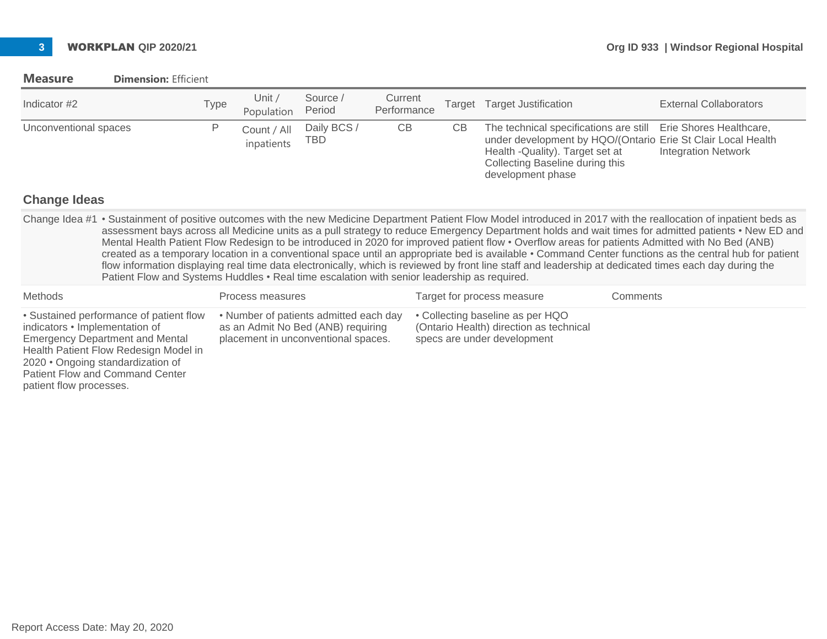### **Measure Dimension:** Efficient

| Indicator #2          | Type | Unit $\prime$<br>Population | Source /<br>Period | Current<br>Performance | Target | <b>Target Justification</b>                                                                                                                                                                                                | <b>External Collaborators</b> |
|-----------------------|------|-----------------------------|--------------------|------------------------|--------|----------------------------------------------------------------------------------------------------------------------------------------------------------------------------------------------------------------------------|-------------------------------|
| Unconventional spaces |      | Count / All<br>inpatients   | Daily BCS /<br>TBD | CB                     | CВ     | The technical specifications are still Erie Shores Healthcare,<br>under development by HQO/(Ontario Erie St Clair Local Health<br>Health - Quality). Target set at<br>Collecting Baseline during this<br>development phase | <b>Integration Network</b>    |

### **Change Ideas**

patient flow processes.

Change Idea #1 • Sustainment of positive outcomes with the new Medicine Department Patient Flow Model introduced in 2017 with the reallocation of inpatient beds as assessment bays across all Medicine units as a pull strategy to reduce Emergency Department holds and wait times for admitted patients • New ED and Mental Health Patient Flow Redesign to be introduced in 2020 for improved patient flow • Overflow areas for patients Admitted with No Bed (ANB) created as a temporary location in a conventional space until an appropriate bed is available • Command Center functions as the central hub for patient flow information displaying real time data electronically, which is reviewed by front line staff and leadership at dedicated times each day during the Patient Flow and Systems Huddles • Real time escalation with senior leadership as required.

| Methods                                                                                                                                                                                                                                     | Process measures                                                                                                    | Target for process measure                                                                                 | Comments |
|---------------------------------------------------------------------------------------------------------------------------------------------------------------------------------------------------------------------------------------------|---------------------------------------------------------------------------------------------------------------------|------------------------------------------------------------------------------------------------------------|----------|
| • Sustained performance of patient flow<br>indicators • Implementation of<br><b>Emergency Department and Mental</b><br>Health Patient Flow Redesign Model in<br>2020 • Ongoing standardization of<br><b>Patient Flow and Command Center</b> | • Number of patients admitted each day<br>as an Admit No Bed (ANB) requiring<br>placement in unconventional spaces. | • Collecting baseline as per HQO<br>(Ontario Health) direction as technical<br>specs are under development |          |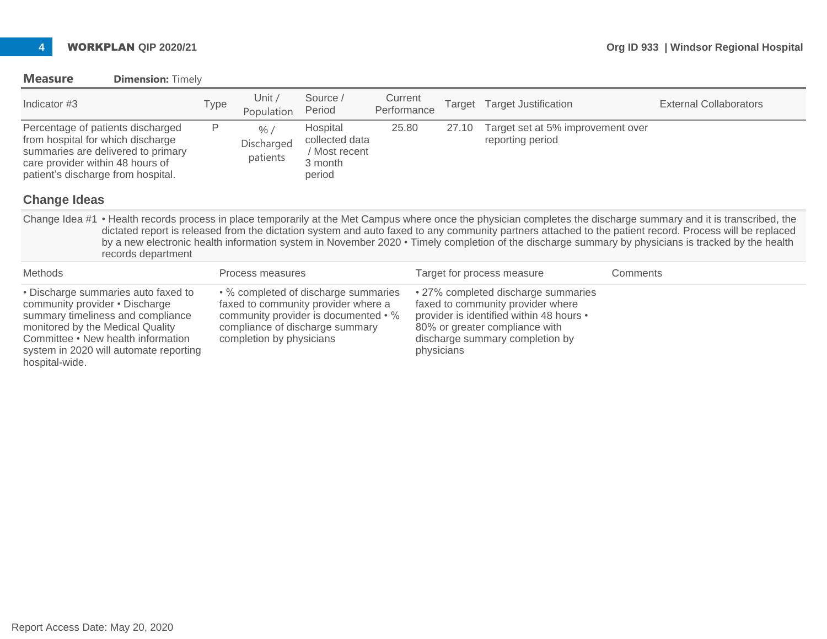### **Measure Dimension:** Timely

system in 2020 will automate reporting

hospital-wide.

| Indicator #3                                                                                                                                                                           |                    | Type | Unit /<br>Population                      | Source /<br>Period                                                                                                                                     | Current<br>Performance | Target | <b>Target Justification</b>                                                                                                                                                               | <b>External Collaborators</b>                                                                                                                                                                                                                                                                                                                                                                                                                                                       |  |
|----------------------------------------------------------------------------------------------------------------------------------------------------------------------------------------|--------------------|------|-------------------------------------------|--------------------------------------------------------------------------------------------------------------------------------------------------------|------------------------|--------|-------------------------------------------------------------------------------------------------------------------------------------------------------------------------------------------|-------------------------------------------------------------------------------------------------------------------------------------------------------------------------------------------------------------------------------------------------------------------------------------------------------------------------------------------------------------------------------------------------------------------------------------------------------------------------------------|--|
| Percentage of patients discharged<br>from hospital for which discharge<br>summaries are delivered to primary<br>care provider within 48 hours of<br>patient's discharge from hospital. |                    | Ρ    | $\frac{9}{6}$ /<br>Discharged<br>patients | Hospital<br>collected data<br>/ Most recent<br>3 month<br>period                                                                                       | 25.80                  | 27.10  | Target set at 5% improvement over<br>reporting period                                                                                                                                     |                                                                                                                                                                                                                                                                                                                                                                                                                                                                                     |  |
| <b>Change Ideas</b>                                                                                                                                                                    |                    |      |                                           |                                                                                                                                                        |                        |        |                                                                                                                                                                                           |                                                                                                                                                                                                                                                                                                                                                                                                                                                                                     |  |
|                                                                                                                                                                                        | records department |      |                                           |                                                                                                                                                        |                        |        |                                                                                                                                                                                           | Change Idea #1 • Health records process in place temporarily at the Met Campus where once the physician completes the discharge summary and it is transcribed, the<br>dictated report is released from the dictation system and auto faxed to any community partners attached to the patient record. Process will be replaced<br>by a new electronic health information system in November 2020 • Timely completion of the discharge summary by physicians is tracked by the health |  |
| <b>Methods</b>                                                                                                                                                                         |                    |      | Process measures                          |                                                                                                                                                        |                        |        | Target for process measure                                                                                                                                                                | Comments                                                                                                                                                                                                                                                                                                                                                                                                                                                                            |  |
| • Discharge summaries auto faxed to<br>community provider . Discharge<br>summary timeliness and compliance<br>monitored by the Medical Quality<br>Committee • New health information   |                    |      | completion by physicians                  | • % completed of discharge summaries<br>faxed to community provider where a<br>community provider is documented • %<br>compliance of discharge summary |                        |        | • 27% completed discharge summaries<br>faxed to community provider where<br>provider is identified within 48 hours •<br>80% or greater compliance with<br>discharge summary completion by |                                                                                                                                                                                                                                                                                                                                                                                                                                                                                     |  |

physicians

Report Access Date: May 20, 2020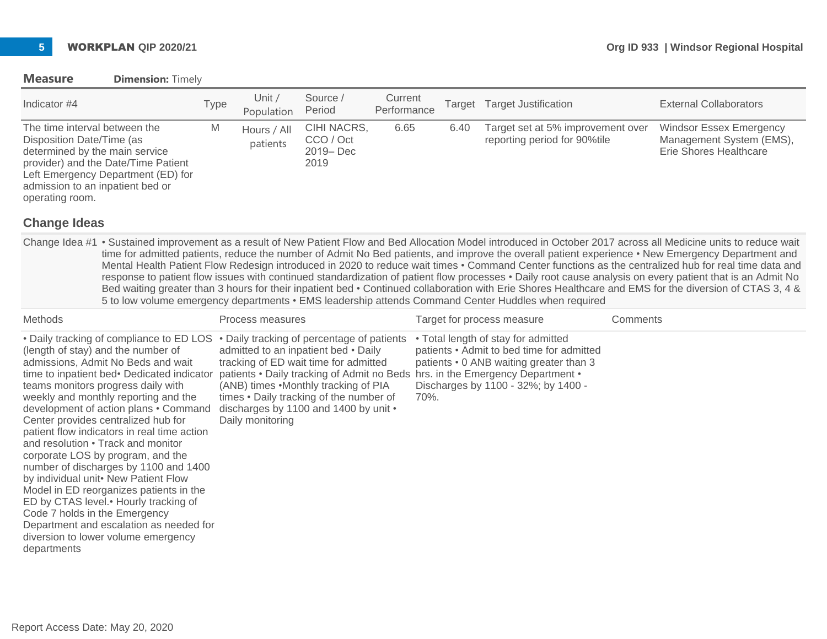### **Measure Dimension:** Timely

| Indicator #4                                                                                                                                                                                                                     | Type | Unit /<br>Population    | Source /<br>Period                             | Current<br>Performance | Target | <b>Target Justification</b>                                       | <b>External Collaborators</b>                                                        |
|----------------------------------------------------------------------------------------------------------------------------------------------------------------------------------------------------------------------------------|------|-------------------------|------------------------------------------------|------------------------|--------|-------------------------------------------------------------------|--------------------------------------------------------------------------------------|
| The time interval between the<br>Disposition Date/Time (as<br>determined by the main service<br>provider) and the Date/Time Patient<br>Left Emergency Department (ED) for<br>admission to an inpatient bed or<br>operating room. | M    | Hours / All<br>patients | CIHI NACRS,<br>CCO / Oct<br>2019 – Dec<br>2019 | 6.65                   | 6.40   | Target set at 5% improvement over<br>reporting period for 90%tile | <b>Windsor Essex Emergency</b><br>Management System (EMS),<br>Erie Shores Healthcare |

### **Change Ideas**

Change Idea #1 • Sustained improvement as a result of New Patient Flow and Bed Allocation Model introduced in October 2017 across all Medicine units to reduce wait time for admitted patients, reduce the number of Admit No Bed patients, and improve the overall patient experience • New Emergency Department and Mental Health Patient Flow Redesign introduced in 2020 to reduce wait times • Command Center functions as the centralized hub for real time data and response to patient flow issues with continued standardization of patient flow processes • Daily root cause analysis on every patient that is an Admit No Bed waiting greater than 3 hours for their inpatient bed • Continued collaboration with Erie Shores Healthcare and EMS for the diversion of CTAS 3, 4 & 5 to low volume emergency departments • EMS leadership attends Command Center Huddles when required

| Methods                                                                                                                                                                                                                                                                                                                                                                                                                                                                                                                                                                                                                                                                                                                                                            | Process measures                                                                                                                                                                                                                                                                                                                                             | Target for process measure                                                                                                                                                 | Comments |
|--------------------------------------------------------------------------------------------------------------------------------------------------------------------------------------------------------------------------------------------------------------------------------------------------------------------------------------------------------------------------------------------------------------------------------------------------------------------------------------------------------------------------------------------------------------------------------------------------------------------------------------------------------------------------------------------------------------------------------------------------------------------|--------------------------------------------------------------------------------------------------------------------------------------------------------------------------------------------------------------------------------------------------------------------------------------------------------------------------------------------------------------|----------------------------------------------------------------------------------------------------------------------------------------------------------------------------|----------|
| • Daily tracking of compliance to ED LOS<br>(length of stay) and the number of<br>admissions, Admit No Beds and wait<br>time to inpatient bed• Dedicated indicator<br>teams monitors progress daily with<br>weekly and monthly reporting and the<br>development of action plans • Command<br>Center provides centralized hub for<br>patient flow indicators in real time action<br>and resolution • Track and monitor<br>corporate LOS by program, and the<br>number of discharges by 1100 and 1400<br>by individual unit• New Patient Flow<br>Model in ED reorganizes patients in the<br>ED by CTAS level. • Hourly tracking of<br>Code 7 holds in the Emergency<br>Department and escalation as needed for<br>diversion to lower volume emergency<br>departments | • Daily tracking of percentage of patients<br>admitted to an inpatient bed • Daily<br>tracking of ED wait time for admitted<br>patients • Daily tracking of Admit no Beds hrs. in the Emergency Department •<br>(ANB) times .Monthly tracking of PIA<br>times • Daily tracking of the number of<br>discharges by 1100 and 1400 by unit •<br>Daily monitoring | • Total length of stay for admitted<br>patients • Admit to bed time for admitted<br>patients • 0 ANB waiting greater than 3<br>Discharges by 1100 - 32%; by 1400 -<br>70%. |          |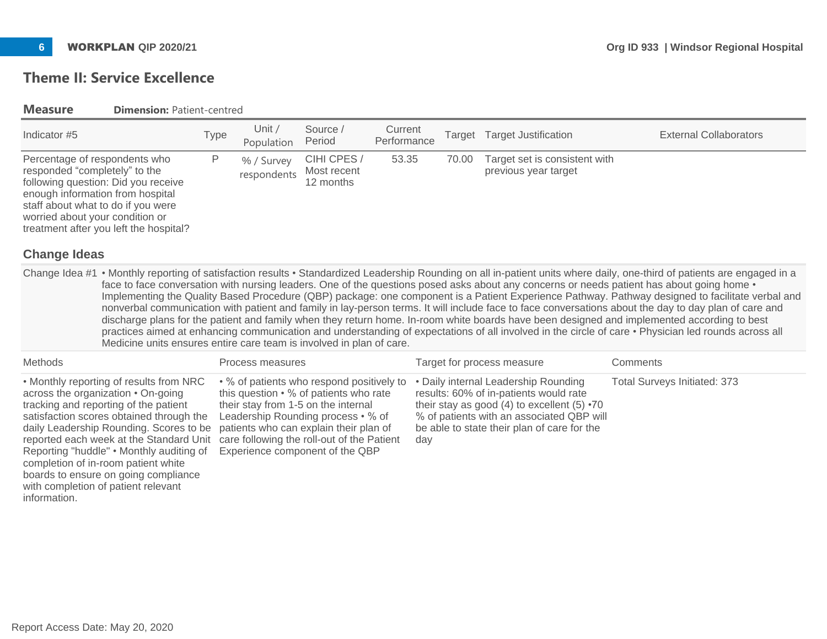# **Theme II: Service Excellence**

**Measure Dimension: Patient-centred** 

| Indicator #5                                                                                                                                                                                                                                                                                                                                                                        | <b>Type</b> | Unit $/$<br>Population    | Source /<br>Period                                                                                                                                                                                                                                                                          | Current<br>Performance |     | Target | <b>Target Justification</b>                                                                                                                                                                                                      | <b>External Collaborators</b>                                                                                                                                                                                                                                                                                                                                                                                                                                                                                                                                                                                                                                                                                                                                  |
|-------------------------------------------------------------------------------------------------------------------------------------------------------------------------------------------------------------------------------------------------------------------------------------------------------------------------------------------------------------------------------------|-------------|---------------------------|---------------------------------------------------------------------------------------------------------------------------------------------------------------------------------------------------------------------------------------------------------------------------------------------|------------------------|-----|--------|----------------------------------------------------------------------------------------------------------------------------------------------------------------------------------------------------------------------------------|----------------------------------------------------------------------------------------------------------------------------------------------------------------------------------------------------------------------------------------------------------------------------------------------------------------------------------------------------------------------------------------------------------------------------------------------------------------------------------------------------------------------------------------------------------------------------------------------------------------------------------------------------------------------------------------------------------------------------------------------------------------|
| Percentage of respondents who<br>responded "completely" to the<br>following question: Did you receive<br>enough information from hospital<br>staff about what to do if you were<br>worried about your condition or<br>treatment after you left the hospital?<br><b>Change Ideas</b>                                                                                                 | P           | % / Survey<br>respondents | CIHI CPES /<br>Most recent<br>12 months                                                                                                                                                                                                                                                     | 53.35                  |     | 70.00  | Target set is consistent with<br>previous year target                                                                                                                                                                            |                                                                                                                                                                                                                                                                                                                                                                                                                                                                                                                                                                                                                                                                                                                                                                |
|                                                                                                                                                                                                                                                                                                                                                                                     |             |                           |                                                                                                                                                                                                                                                                                             |                        |     |        |                                                                                                                                                                                                                                  | Change Idea #1 • Monthly reporting of satisfaction results • Standardized Leadership Rounding on all in-patient units where daily, one-third of patients are engaged in a                                                                                                                                                                                                                                                                                                                                                                                                                                                                                                                                                                                      |
| Medicine units ensures entire care team is involved in plan of care.                                                                                                                                                                                                                                                                                                                |             |                           |                                                                                                                                                                                                                                                                                             |                        |     |        |                                                                                                                                                                                                                                  | face to face conversation with nursing leaders. One of the questions posed asks about any concerns or needs patient has about going home .<br>Implementing the Quality Based Procedure (QBP) package: one component is a Patient Experience Pathway. Pathway designed to facilitate verbal and<br>nonverbal communication with patient and family in lay-person terms. It will include face to face conversations about the day to day plan of care and<br>discharge plans for the patient and family when they return home. In-room white boards have been designed and implemented according to best<br>practices aimed at enhancing communication and understanding of expectations of all involved in the circle of care • Physician led rounds across all |
| Methods                                                                                                                                                                                                                                                                                                                                                                             |             | Process measures          |                                                                                                                                                                                                                                                                                             |                        |     |        | Target for process measure                                                                                                                                                                                                       | Comments                                                                                                                                                                                                                                                                                                                                                                                                                                                                                                                                                                                                                                                                                                                                                       |
| • Monthly reporting of results from NRC<br>across the organization . On-going<br>tracking and reporting of the patient<br>satisfaction scores obtained through the<br>daily Leadership Rounding. Scores to be<br>reported each week at the Standard Unit<br>Reporting "huddle" . Monthly auditing of<br>completion of in-room patient white<br>boards to ensure on going compliance |             |                           | • % of patients who respond positively to<br>this question • % of patients who rate<br>their stay from 1-5 on the internal<br>Leadership Rounding process • % of<br>patients who can explain their plan of<br>care following the roll-out of the Patient<br>Experience component of the QBP |                        | day |        | • Daily internal Leadership Rounding<br>results: 60% of in-patients would rate<br>their stay as good (4) to excellent (5) $\cdot 70$<br>% of patients with an associated QBP will<br>be able to state their plan of care for the | Total Surveys Initiated: 373                                                                                                                                                                                                                                                                                                                                                                                                                                                                                                                                                                                                                                                                                                                                   |

with completion of patient relevant

information.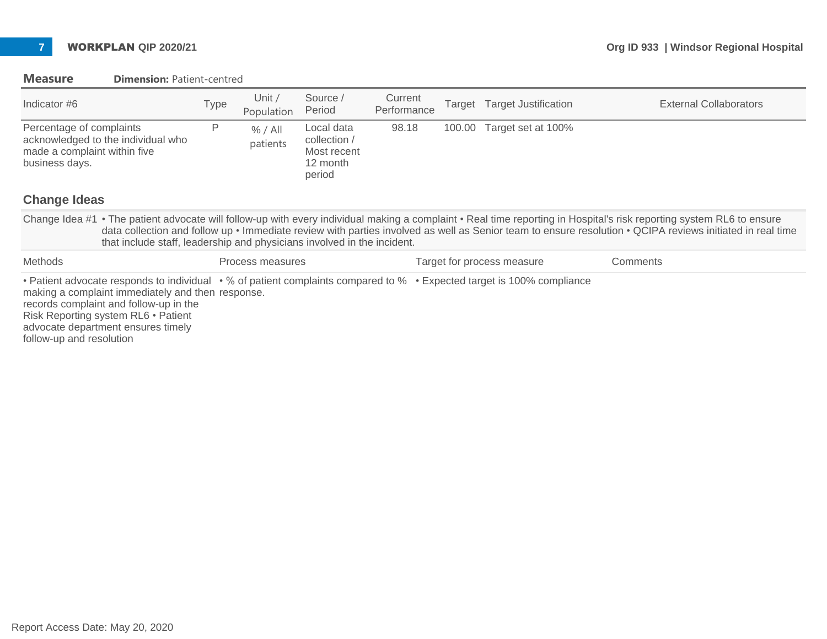| Indicator #6                                                                                                                                                                                                                                                                                                                                                                                                  | <b>Type</b> | Unit /<br>Population | Source /<br>Period                                              | Current<br>Performance |        | Target Target Justification | <b>External Collaborators</b> |  |
|---------------------------------------------------------------------------------------------------------------------------------------------------------------------------------------------------------------------------------------------------------------------------------------------------------------------------------------------------------------------------------------------------------------|-------------|----------------------|-----------------------------------------------------------------|------------------------|--------|-----------------------------|-------------------------------|--|
| Percentage of complaints<br>acknowledged to the individual who<br>made a complaint within five<br>business days.                                                                                                                                                                                                                                                                                              | P           | % / All<br>patients  | Local data<br>collection /<br>Most recent<br>12 month<br>period | 98.18                  | 100.00 | Target set at 100%          |                               |  |
| <b>Change Ideas</b>                                                                                                                                                                                                                                                                                                                                                                                           |             |                      |                                                                 |                        |        |                             |                               |  |
| Change Idea #1 • The patient advocate will follow-up with every individual making a complaint • Real time reporting in Hospital's risk reporting system RL6 to ensure<br>data collection and follow up • Immediate review with parties involved as well as Senior team to ensure resolution • QCIPA reviews initiated in real time<br>that include staff, leadership and physicians involved in the incident. |             |                      |                                                                 |                        |        |                             |                               |  |
| Methods                                                                                                                                                                                                                                                                                                                                                                                                       |             | Process measures     |                                                                 |                        |        | Target for process measure  | Comments                      |  |
| • Patient advocate responds to individual • % of patient complaints compared to % • Expected target is 100% compliance<br>making a complaint immediately and then response.<br>records complaint and follow-up in the<br>Risk Reporting system RL6 • Patient<br>advocate department ensures timely<br>follow-up and resolution                                                                                |             |                      |                                                                 |                        |        |                             |                               |  |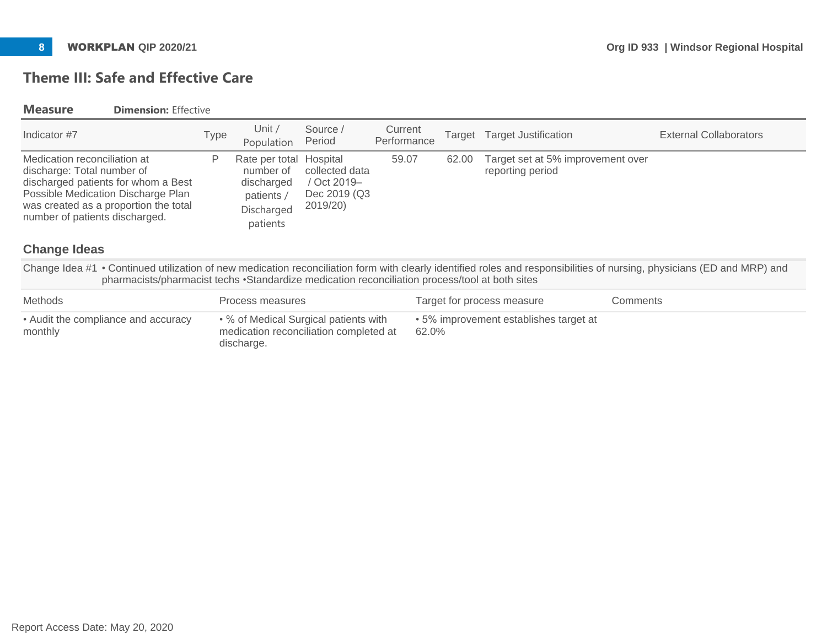# **Theme III: Safe and Effective Care**

### **Measure Dimension:** Effective

| Indicator #7                                                                                                                                                                                                                              | Type | Unit /<br>Population                                                              | Source /<br>Period                                                              | Current<br>Performance | Target | <b>Target Justification</b>                           | External Collaborators                                                                                                                                                  |
|-------------------------------------------------------------------------------------------------------------------------------------------------------------------------------------------------------------------------------------------|------|-----------------------------------------------------------------------------------|---------------------------------------------------------------------------------|------------------------|--------|-------------------------------------------------------|-------------------------------------------------------------------------------------------------------------------------------------------------------------------------|
| Medication reconciliation at<br>discharge: Total number of<br>discharged patients for whom a Best<br>Possible Medication Discharge Plan<br>was created as a proportion the total<br>number of patients discharged.<br><b>Change Ideas</b> | P    | Rate per total<br>number of<br>discharged<br>patients /<br>Discharged<br>patients | Hospital<br>collected data<br>/ Oct 2019-<br>Dec 2019 (Q3<br>2019/20)           | 59.07                  | 62.00  | Target set at 5% improvement over<br>reporting period |                                                                                                                                                                         |
| pharmacists/pharmacist techs •Standardize medication reconciliation process/tool at both sites                                                                                                                                            |      |                                                                                   |                                                                                 |                        |        |                                                       | Change Idea #1 • Continued utilization of new medication reconciliation form with clearly identified roles and responsibilities of nursing, physicians (ED and MRP) and |
| <b>Methods</b>                                                                                                                                                                                                                            |      | Process measures                                                                  |                                                                                 |                        |        | Target for process measure                            | Comments                                                                                                                                                                |
| • Audit the compliance and accuracy<br>monthly                                                                                                                                                                                            |      | discharge.                                                                        | • % of Medical Surgical patients with<br>medication reconciliation completed at |                        | 62.0%  | • 5% improvement establishes target at                |                                                                                                                                                                         |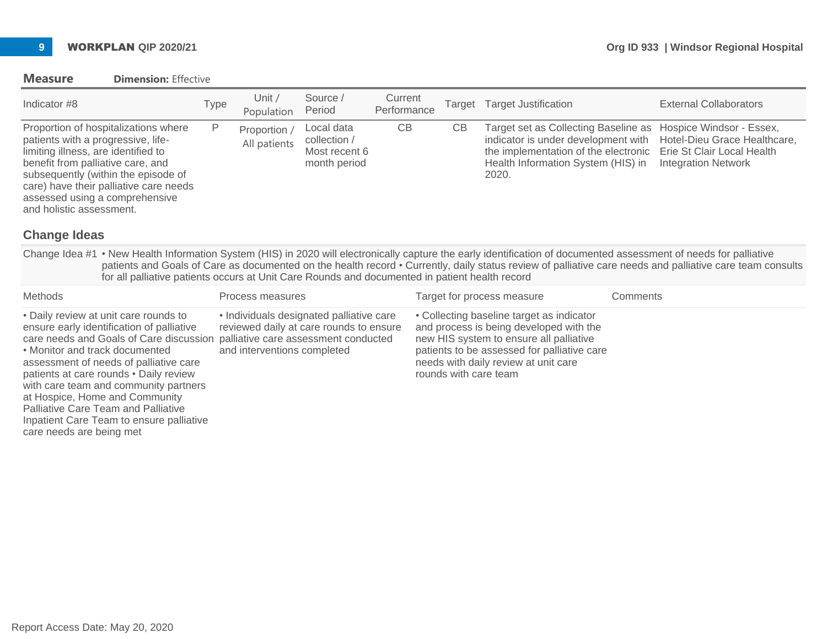### **Measure Dimension:** Effective

| Indicator #8                                                                                                                                                                                                                                                                                          | Type | Unit /<br>Population         | Source /<br>Period                                          | Current<br>Performance | Target | <b>Target Justification</b>                                                                                                                                                                                                                         | <b>External Collaborators</b> |
|-------------------------------------------------------------------------------------------------------------------------------------------------------------------------------------------------------------------------------------------------------------------------------------------------------|------|------------------------------|-------------------------------------------------------------|------------------------|--------|-----------------------------------------------------------------------------------------------------------------------------------------------------------------------------------------------------------------------------------------------------|-------------------------------|
| Proportion of hospitalizations where<br>patients with a progressive, life-<br>limiting illness, are identified to<br>benefit from palliative care, and<br>subsequently (within the episode of<br>care) have their palliative care needs<br>assessed using a comprehensive<br>and holistic assessment. | P    | Proportion /<br>All patients | Local data<br>collection /<br>Most recent 6<br>month period | СB                     | СB     | Target set as Collecting Baseline as Hospice Windsor - Essex,<br>indicator is under development with Hotel-Dieu Grace Healthcare,<br>the implementation of the electronic Erie St Clair Local Health<br>Health Information System (HIS) in<br>2020. | <b>Integration Network</b>    |

## **Change Ideas**

Change Idea #1 • New Health Information System (HIS) in 2020 will electronically capture the early identification of documented assessment of needs for palliative patients and Goals of Care as documented on the health record • Currently, daily status review of palliative care needs and palliative care team consults for all palliative patients occurs at Unit Care Rounds and documented in patient health record

| <b>Methods</b>                                                                                                                                                                                                                                                                                                                                                                                                                                                                     | Process measures                                                                                                   | Target for process measure                                                                                                                                                                                                                      | Comments |
|------------------------------------------------------------------------------------------------------------------------------------------------------------------------------------------------------------------------------------------------------------------------------------------------------------------------------------------------------------------------------------------------------------------------------------------------------------------------------------|--------------------------------------------------------------------------------------------------------------------|-------------------------------------------------------------------------------------------------------------------------------------------------------------------------------------------------------------------------------------------------|----------|
| • Daily review at unit care rounds to<br>ensure early identification of palliative<br>care needs and Goals of Care discussion palliative care assessment conducted<br>• Monitor and track documented<br>assessment of needs of palliative care<br>patients at care rounds . Daily review<br>with care team and community partners<br>at Hospice, Home and Community<br>Palliative Care Team and Palliative<br>Inpatient Care Team to ensure palliative<br>care needs are being met | • Individuals designated palliative care<br>reviewed daily at care rounds to ensure<br>and interventions completed | • Collecting baseline target as indicator<br>and process is being developed with the<br>new HIS system to ensure all palliative<br>patients to be assessed for palliative care<br>needs with daily review at unit care<br>rounds with care team |          |

Report Access Date: May 20, 2020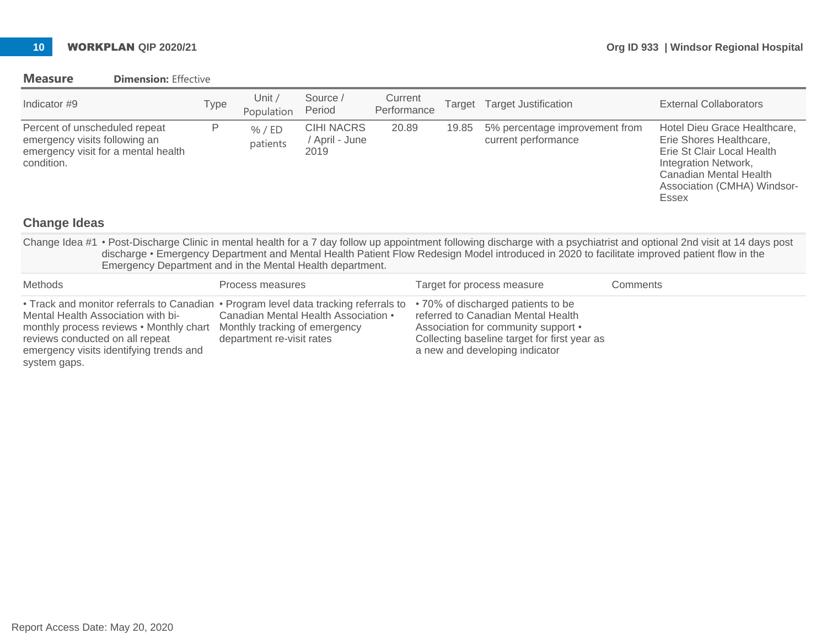## **Measure Dimension:** Effective

| Indicator #9                                                                                                                                                                                                                                                                                                                                                                          |                                                                                                                                 | Type | Unit $/$<br>Population                                     | Source /<br>Period                                                                 | Current<br>Performance | Target | <b>Target Justification</b>                                                                                                                                                                       |          | <b>External Collaborators</b>                                                                                                                                                          |
|---------------------------------------------------------------------------------------------------------------------------------------------------------------------------------------------------------------------------------------------------------------------------------------------------------------------------------------------------------------------------------------|---------------------------------------------------------------------------------------------------------------------------------|------|------------------------------------------------------------|------------------------------------------------------------------------------------|------------------------|--------|---------------------------------------------------------------------------------------------------------------------------------------------------------------------------------------------------|----------|----------------------------------------------------------------------------------------------------------------------------------------------------------------------------------------|
| Percent of unscheduled repeat<br>emergency visits following an<br>condition.                                                                                                                                                                                                                                                                                                          | emergency visit for a mental health                                                                                             | P    | % / ED<br>patients                                         | <b>CIHI NACRS</b><br>/ April - June<br>2019                                        | 20.89                  | 19.85  | 5% percentage improvement from<br>current performance                                                                                                                                             |          | Hotel Dieu Grace Healthcare,<br>Erie Shores Healthcare,<br>Erie St Clair Local Health<br>Integration Network,<br>Canadian Mental Health<br>Association (CMHA) Windsor-<br><b>Essex</b> |
| <b>Change Ideas</b>                                                                                                                                                                                                                                                                                                                                                                   |                                                                                                                                 |      |                                                            |                                                                                    |                        |        |                                                                                                                                                                                                   |          |                                                                                                                                                                                        |
| Change Idea #1 • Post-Discharge Clinic in mental health for a 7 day follow up appointment following discharge with a psychiatrist and optional 2nd visit at 14 days post<br>discharge • Emergency Department and Mental Health Patient Flow Redesign Model introduced in 2020 to facilitate improved patient flow in the<br>Emergency Department and in the Mental Health department. |                                                                                                                                 |      |                                                            |                                                                                    |                        |        |                                                                                                                                                                                                   |          |                                                                                                                                                                                        |
| Methods                                                                                                                                                                                                                                                                                                                                                                               |                                                                                                                                 |      | Process measures                                           |                                                                                    |                        |        | Target for process measure                                                                                                                                                                        | Comments |                                                                                                                                                                                        |
| Mental Health Association with bi-<br>reviews conducted on all repeat<br>system gaps.                                                                                                                                                                                                                                                                                                 | • Track and monitor referrals to Canadian<br>monthly process reviews • Monthly chart<br>emergency visits identifying trends and |      | Monthly tracking of emergency<br>department re-visit rates | • Program level data tracking referrals to<br>Canadian Mental Health Association • |                        |        | • 70% of discharged patients to be<br>referred to Canadian Mental Health<br>Association for community support •<br>Collecting baseline target for first year as<br>a new and developing indicator |          |                                                                                                                                                                                        |